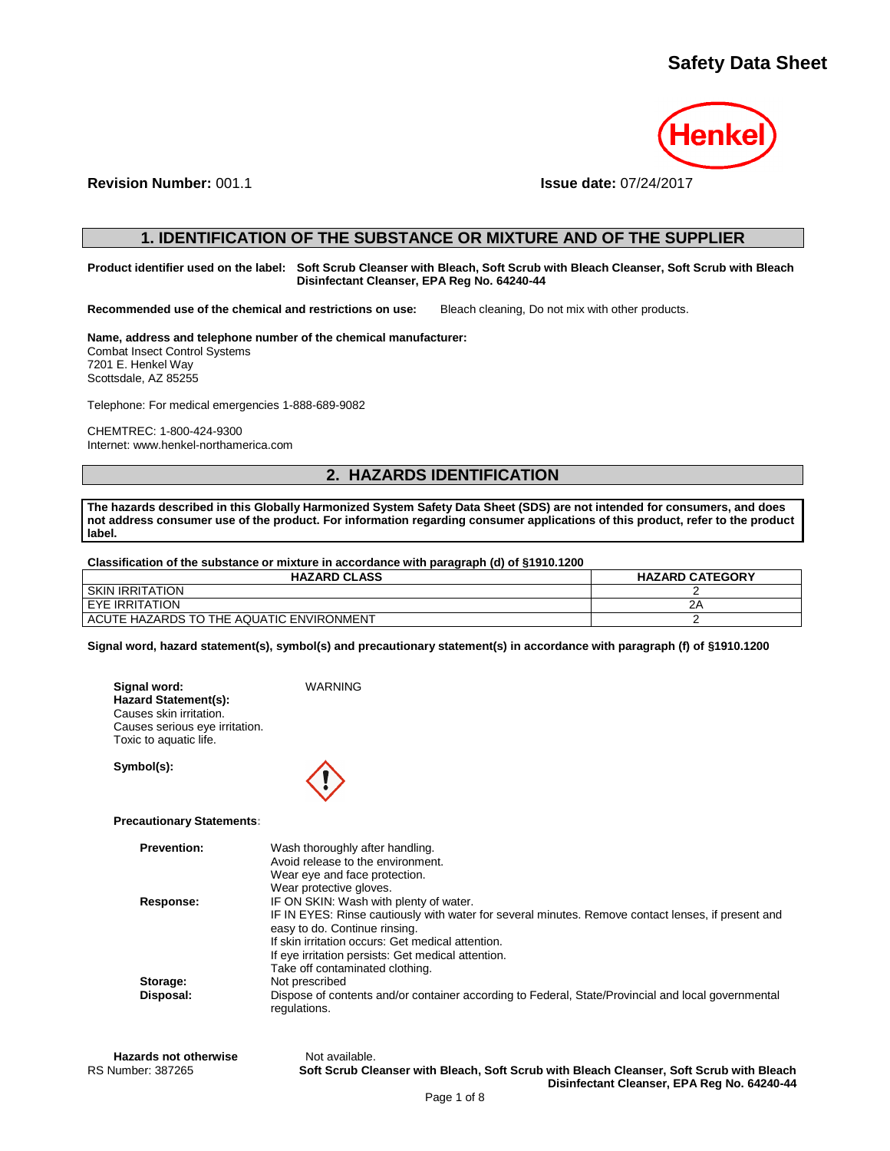

**Revision Number:** 001.1 **Issue date:** 07/24/2017

## **1. IDENTIFICATION OF THE SUBSTANCE OR MIXTURE AND OF THE SUPPLIER**

**Product identifier used on the label: Soft Scrub Cleanser with Bleach, Soft Scrub with Bleach Cleanser, Soft Scrub with Bleach Disinfectant Cleanser, EPA Reg No. 64240-44**

**Recommended use of the chemical and restrictions on use:** Bleach cleaning, Do not mix with other products.

## **Name, address and telephone number of the chemical manufacturer:**

Combat Insect Control Systems 7201 E. Henkel Way Scottsdale, AZ 85255

Telephone: For medical emergencies 1-888-689-9082

CHEMTREC: 1-800-424-9300 Internet: www.henkel-northamerica.com

# **2. HAZARDS IDENTIFICATION**

**The hazards described in this Globally Harmonized System Safety Data Sheet (SDS) are not intended for consumers, and does not address consumer use of the product. For information regarding consumer applications of this product, refer to the product label.**

**Classification of the substance or mixture in accordance with paragraph (d) of §1910.1200**

| <b>HAZARD CLASS</b>                      | <b>HAZARD CATEGORY</b> |
|------------------------------------------|------------------------|
| <b>SKIN IRRITATION</b>                   |                        |
| <b>EYE IRRITATION</b>                    |                        |
| ACUTE HAZARDS TO THE AQUATIC ENVIRONMENT |                        |

**Signal word, hazard statement(s), symbol(s) and precautionary statement(s) in accordance with paragraph (f) of §1910.1200**

**Signal word:** WARNING **Hazard Statement(s):** Causes skin irritation. Causes serious eye irritation. Toxic to aquatic life.

**Symbol(s):**



## **Precautionary Statements:**

| Wash thoroughly after handling.                                                                                                     |
|-------------------------------------------------------------------------------------------------------------------------------------|
| Avoid release to the environment.                                                                                                   |
| Wear eye and face protection.                                                                                                       |
| Wear protective gloves.                                                                                                             |
| IF ON SKIN: Wash with plenty of water.                                                                                              |
| IF IN EYES: Rinse cautiously with water for several minutes. Remove contact lenses, if present and<br>easy to do. Continue rinsing. |
| If skin irritation occurs: Get medical attention.                                                                                   |
| If eye irritation persists: Get medical attention.                                                                                  |
| Take off contaminated clothing.                                                                                                     |
| Not prescribed                                                                                                                      |
| Dispose of contents and/or container according to Federal, State/Provincial and local governmental<br>regulations.                  |
|                                                                                                                                     |

Hazards not otherwise **Not available.** 

RS Number: 387265 **Soft Scrub Cleanser with Bleach, Soft Scrub with Bleach Cleanser, Soft Scrub with Bleach Disinfectant Cleanser, EPA Reg No. 64240-44**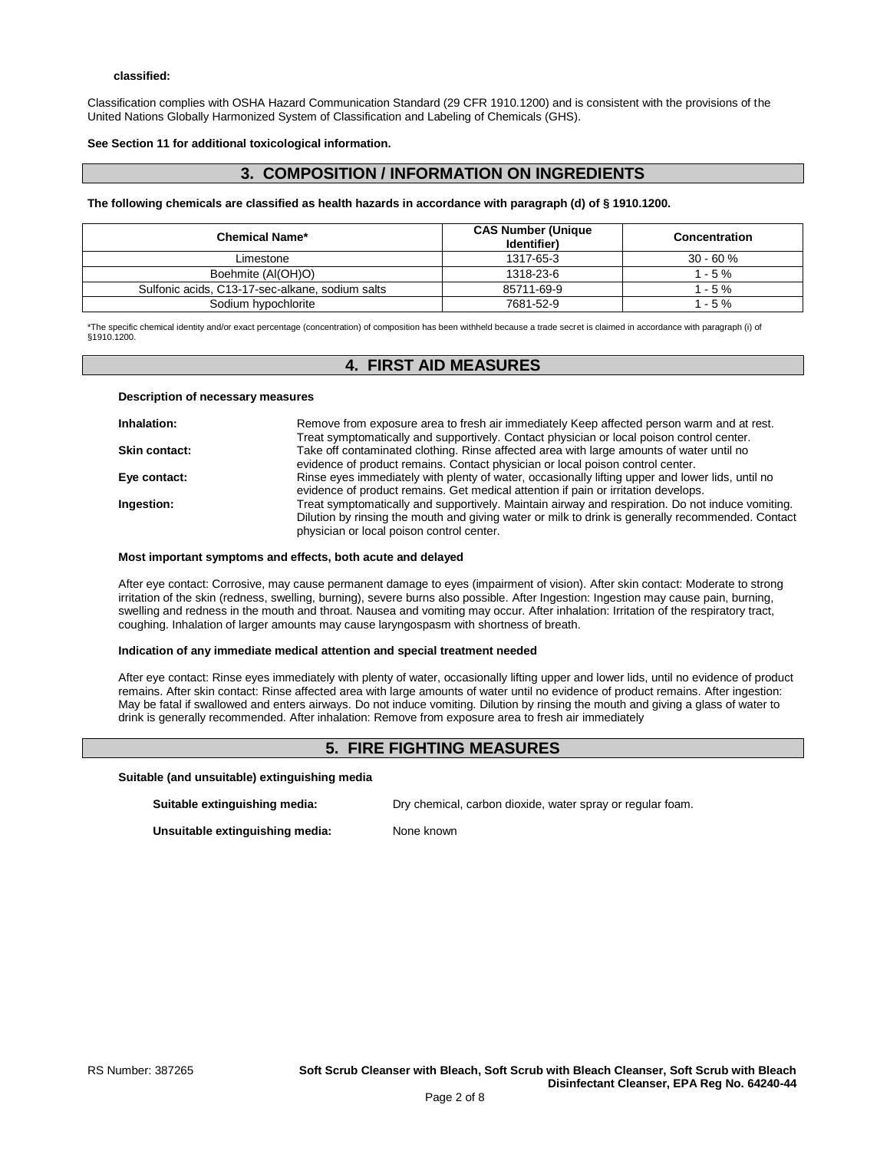Classification complies with OSHA Hazard Communication Standard (29 CFR 1910.1200) and is consistent with the provisions of the United Nations Globally Harmonized System of Classification and Labeling of Chemicals (GHS).

**See Section 11 for additional toxicological information.**

# **3. COMPOSITION / INFORMATION ON INGREDIENTS**

### **The following chemicals are classified as health hazards in accordance with paragraph (d) of § 1910.1200.**

| <b>Chemical Name*</b>                           | <b>CAS Number (Unique</b><br>Identifier) | Concentration |
|-------------------------------------------------|------------------------------------------|---------------|
| Limestone                                       | 1317-65-3                                | $30 - 60%$    |
| Boehmite (Al(OH)O)                              | 1318-23-6                                | $1 - 5 \%$    |
| Sulfonic acids, C13-17-sec-alkane, sodium salts | 85711-69-9                               | $1 - 5 \%$    |
| Sodium hypochlorite                             | 7681-52-9                                | $1 - 5 \%$    |

\*The specific chemical identity and/or exact percentage (concentration) of composition has been withheld because a trade secret is claimed in accordance with paragraph (i) of §1910.1200.

# **4. FIRST AID MEASURES**

### **Description of necessary measures**

| Inhalation:          | Remove from exposure area to fresh air immediately Keep affected person warm and at rest.         |
|----------------------|---------------------------------------------------------------------------------------------------|
|                      | Treat symptomatically and supportively. Contact physician or local poison control center.         |
| <b>Skin contact:</b> | Take off contaminated clothing. Rinse affected area with large amounts of water until no          |
|                      | evidence of product remains. Contact physician or local poison control center.                    |
| Eye contact:         | Rinse eyes immediately with plenty of water, occasionally lifting upper and lower lids, until no  |
|                      | evidence of product remains. Get medical attention if pain or irritation develops.                |
| Ingestion:           | Treat symptomatically and supportively. Maintain airway and respiration. Do not induce vomiting.  |
|                      | Dilution by rinsing the mouth and giving water or milk to drink is generally recommended. Contact |
|                      | physician or local poison control center.                                                         |

### **Most important symptoms and effects, both acute and delayed**

After eye contact: Corrosive, may cause permanent damage to eyes (impairment of vision). After skin contact: Moderate to strong irritation of the skin (redness, swelling, burning), severe burns also possible. After Ingestion: Ingestion may cause pain, burning, swelling and redness in the mouth and throat. Nausea and vomiting may occur. After inhalation: Irritation of the respiratory tract, coughing. Inhalation of larger amounts may cause laryngospasm with shortness of breath.

### **Indication of any immediate medical attention and special treatment needed**

After eye contact: Rinse eyes immediately with plenty of water, occasionally lifting upper and lower lids, until no evidence of product remains. After skin contact: Rinse affected area with large amounts of water until no evidence of product remains. After ingestion: May be fatal if swallowed and enters airways. Do not induce vomiting. Dilution by rinsing the mouth and giving a glass of water to drink is generally recommended. After inhalation: Remove from exposure area to fresh air immediately

# **5. FIRE FIGHTING MEASURES**

### **Suitable (and unsuitable) extinguishing media**

| Suitable extinguishing media:   | Dry chemical, carbon dioxide, water spray or regular foam. |
|---------------------------------|------------------------------------------------------------|
| Unsuitable extinguishing media: | None known                                                 |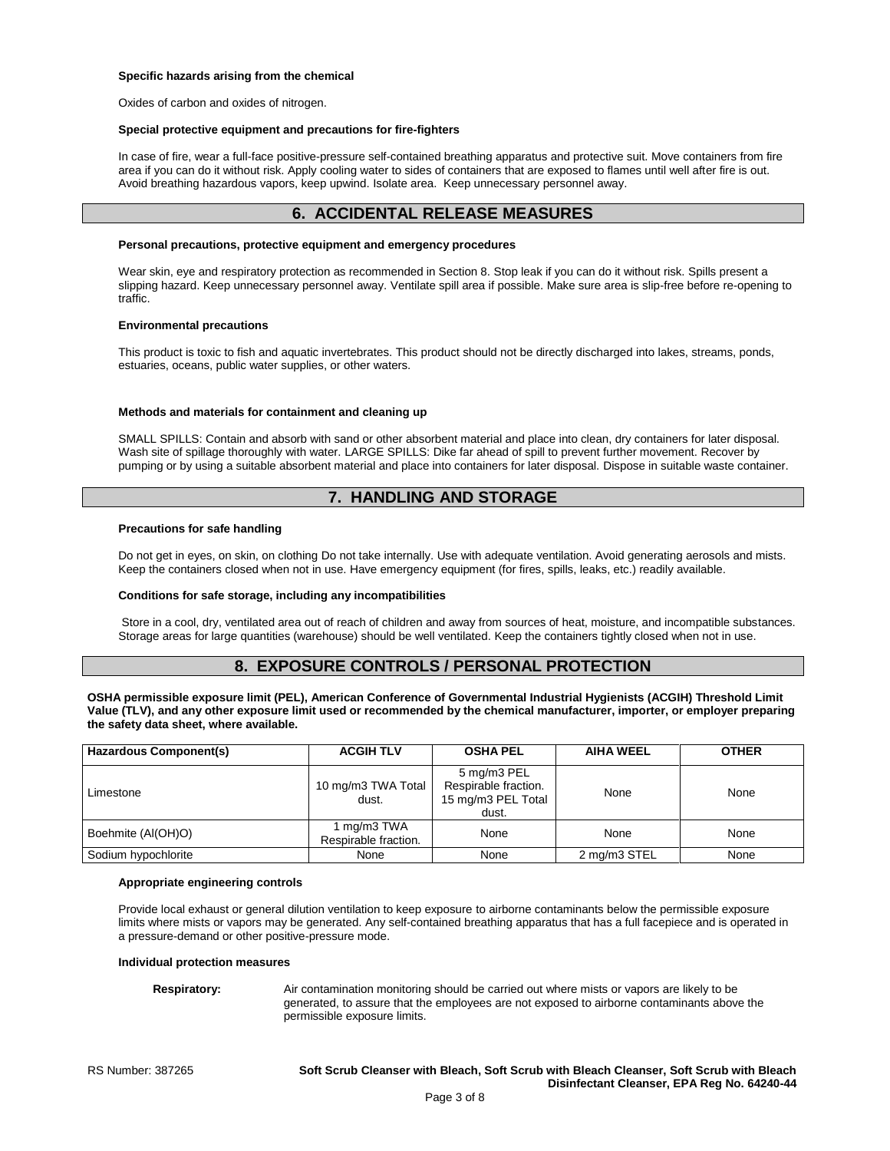### **Specific hazards arising from the chemical**

Oxides of carbon and oxides of nitrogen.

### **Special protective equipment and precautions for fire-fighters**

In case of fire, wear a full-face positive-pressure self-contained breathing apparatus and protective suit. Move containers from fire area if you can do it without risk. Apply cooling water to sides of containers that are exposed to flames until well after fire is out. Avoid breathing hazardous vapors, keep upwind. Isolate area. Keep unnecessary personnel away.

# **6. ACCIDENTAL RELEASE MEASURES**

### **Personal precautions, protective equipment and emergency procedures**

Wear skin, eye and respiratory protection as recommended in Section 8. Stop leak if you can do it without risk. Spills present a slipping hazard. Keep unnecessary personnel away. Ventilate spill area if possible. Make sure area is slip-free before re-opening to traffic.

### **Environmental precautions**

This product is toxic to fish and aquatic invertebrates. This product should not be directly discharged into lakes, streams, ponds, estuaries, oceans, public water supplies, or other waters.

### **Methods and materials for containment and cleaning up**

SMALL SPILLS: Contain and absorb with sand or other absorbent material and place into clean, dry containers for later disposal. Wash site of spillage thoroughly with water. LARGE SPILLS: Dike far ahead of spill to prevent further movement. Recover by pumping or by using a suitable absorbent material and place into containers for later disposal. Dispose in suitable waste container.

# **7. HANDLING AND STORAGE**

### **Precautions for safe handling**

Do not get in eyes, on skin, on clothing Do not take internally. Use with adequate ventilation. Avoid generating aerosols and mists. Keep the containers closed when not in use. Have emergency equipment (for fires, spills, leaks, etc.) readily available.

### **Conditions for safe storage, including any incompatibilities**

Store in a cool, dry, ventilated area out of reach of children and away from sources of heat, moisture, and incompatible substances. Storage areas for large quantities (warehouse) should be well ventilated. Keep the containers tightly closed when not in use.

# **8. EXPOSURE CONTROLS / PERSONAL PROTECTION**

**OSHA permissible exposure limit (PEL), American Conference of Governmental Industrial Hygienists (ACGIH) Threshold Limit Value (TLV), and any other exposure limit used or recommended by the chemical manufacturer, importer, or employer preparing the safety data sheet, where available.**

| <b>Hazardous Component(s)</b> | <b>ACGIH TLV</b>                    | <b>OSHA PEL</b>                                                    | <b>AIHA WEEL</b> | <b>OTHER</b> |
|-------------------------------|-------------------------------------|--------------------------------------------------------------------|------------------|--------------|
| Limestone                     | 10 mg/m3 TWA Total<br>dust.         | 5 mg/m3 PEL<br>Respirable fraction.<br>15 mg/m3 PEL Total<br>dust. | None             | None         |
| Boehmite (Al(OH)O)            | 1 mg/m3 TWA<br>Respirable fraction. | None                                                               | None             | None         |
| Sodium hypochlorite           | None                                | None                                                               | 2 mg/m3 STEL     | None         |

### **Appropriate engineering controls**

Provide local exhaust or general dilution ventilation to keep exposure to airborne contaminants below the permissible exposure limits where mists or vapors may be generated. Any self-contained breathing apparatus that has a full facepiece and is operated in a pressure-demand or other positive-pressure mode.

### **Individual protection measures**

**Respiratory:** Air contamination monitoring should be carried out where mists or vapors are likely to be generated, to assure that the employees are not exposed to airborne contaminants above the permissible exposure limits.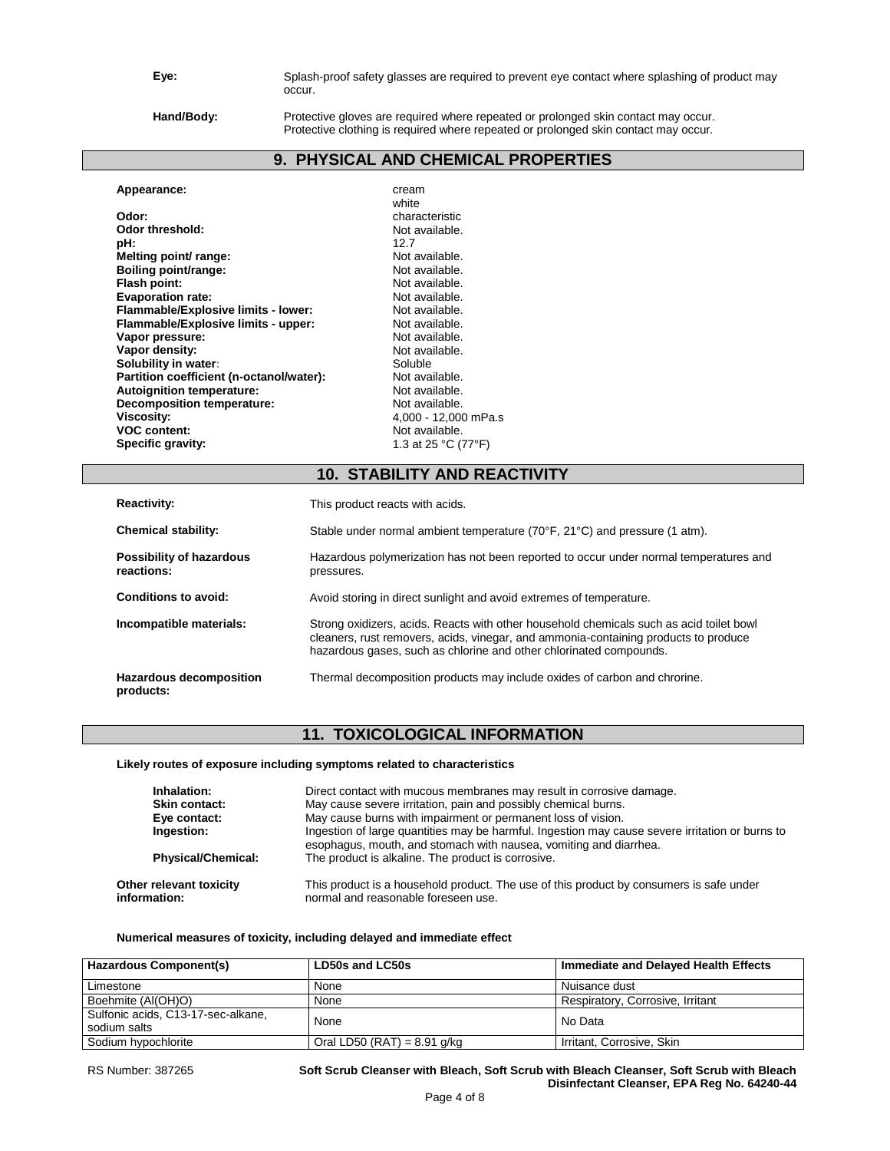**Eye:** Splash-proof safety glasses are required to prevent eye contact where splashing of product may occur.

**Hand/Body:** Protective gloves are required where repeated or prolonged skin contact may occur. Protective clothing is required where repeated or prolonged skin contact may occur.

# **9. PHYSICAL AND CHEMICAL PROPERTIES**

| Appearance:                              | cream                |
|------------------------------------------|----------------------|
|                                          | white                |
| Odor:                                    | characteristic       |
| Odor threshold:                          | Not available.       |
| pH:                                      | 12.7                 |
| Melting point/ range:                    | Not available.       |
| Boiling point/range:                     | Not available.       |
| Flash point:                             | Not available.       |
| <b>Evaporation rate:</b>                 | Not available.       |
| Flammable/Explosive limits - lower:      | Not available.       |
| Flammable/Explosive limits - upper:      | Not available.       |
| Vapor pressure:                          | Not available.       |
| Vapor density:                           | Not available.       |
| Solubility in water:                     | Soluble              |
| Partition coefficient (n-octanol/water): | Not available.       |
| Autoignition temperature:                | Not available.       |
| <b>Decomposition temperature:</b>        | Not available.       |
| Viscosity:                               | 4,000 - 12,000 mPa.s |
| <b>VOC content:</b>                      | Not available.       |
| Specific gravity:                        | 1.3 at 25 °C (77°F)  |
|                                          |                      |

# **10. STABILITY AND REACTIVITY**

| <b>Reactivity:</b>                            | This product reacts with acids.                                                                                                                                                                                                                      |
|-----------------------------------------------|------------------------------------------------------------------------------------------------------------------------------------------------------------------------------------------------------------------------------------------------------|
| <b>Chemical stability:</b>                    | Stable under normal ambient temperature (70°F, 21°C) and pressure (1 atm).                                                                                                                                                                           |
| <b>Possibility of hazardous</b><br>reactions: | Hazardous polymerization has not been reported to occur under normal temperatures and<br>pressures.                                                                                                                                                  |
| Conditions to avoid:                          | Avoid storing in direct sunlight and avoid extremes of temperature.                                                                                                                                                                                  |
| Incompatible materials:                       | Strong oxidizers, acids. Reacts with other household chemicals such as acid toilet bowl<br>cleaners, rust removers, acids, vinegar, and ammonia-containing products to produce<br>hazardous gases, such as chlorine and other chlorinated compounds. |
| Hazardous decomposition<br>products:          | Thermal decomposition products may include oxides of carbon and chrorine.                                                                                                                                                                            |

# **11. TOXICOLOGICAL INFORMATION**

## **Likely routes of exposure including symptoms related to characteristics**

| Inhalation:<br>Skin contact:<br>Eye contact:<br>Ingestion:<br><b>Physical/Chemical:</b> | Direct contact with mucous membranes may result in corrosive damage.<br>May cause severe irritation, pain and possibly chemical burns.<br>May cause burns with impairment or permanent loss of vision.<br>Ingestion of large quantities may be harmful. Ingestion may cause severe irritation or burns to<br>esophagus, mouth, and stomach with nausea, vomiting and diarrhea.<br>The product is alkaline. The product is corrosive. |
|-----------------------------------------------------------------------------------------|--------------------------------------------------------------------------------------------------------------------------------------------------------------------------------------------------------------------------------------------------------------------------------------------------------------------------------------------------------------------------------------------------------------------------------------|
| Other relevant toxicity                                                                 | This product is a household product. The use of this product by consumers is safe under                                                                                                                                                                                                                                                                                                                                              |
| information:                                                                            | normal and reasonable foreseen use.                                                                                                                                                                                                                                                                                                                                                                                                  |

## **Numerical measures of toxicity, including delayed and immediate effect**

| Hazardous Component(s)                             | LD50s and LC50s               | Immediate and Delayed Health Effects |
|----------------------------------------------------|-------------------------------|--------------------------------------|
| Limestone                                          | None                          | Nuisance dust                        |
| Boehmite (Al(OH)O)                                 | None                          | Respiratory, Corrosive, Irritant     |
| Sulfonic acids, C13-17-sec-alkane,<br>sodium salts | None                          | No Data                              |
| Sodium hypochlorite                                | Oral LD50 (RAT) = $8.91$ g/kg | Irritant, Corrosive, Skin            |

RS Number: 387265 **Soft Scrub Cleanser with Bleach, Soft Scrub with Bleach Cleanser, Soft Scrub with Bleach Disinfectant Cleanser, EPA Reg No. 64240-44**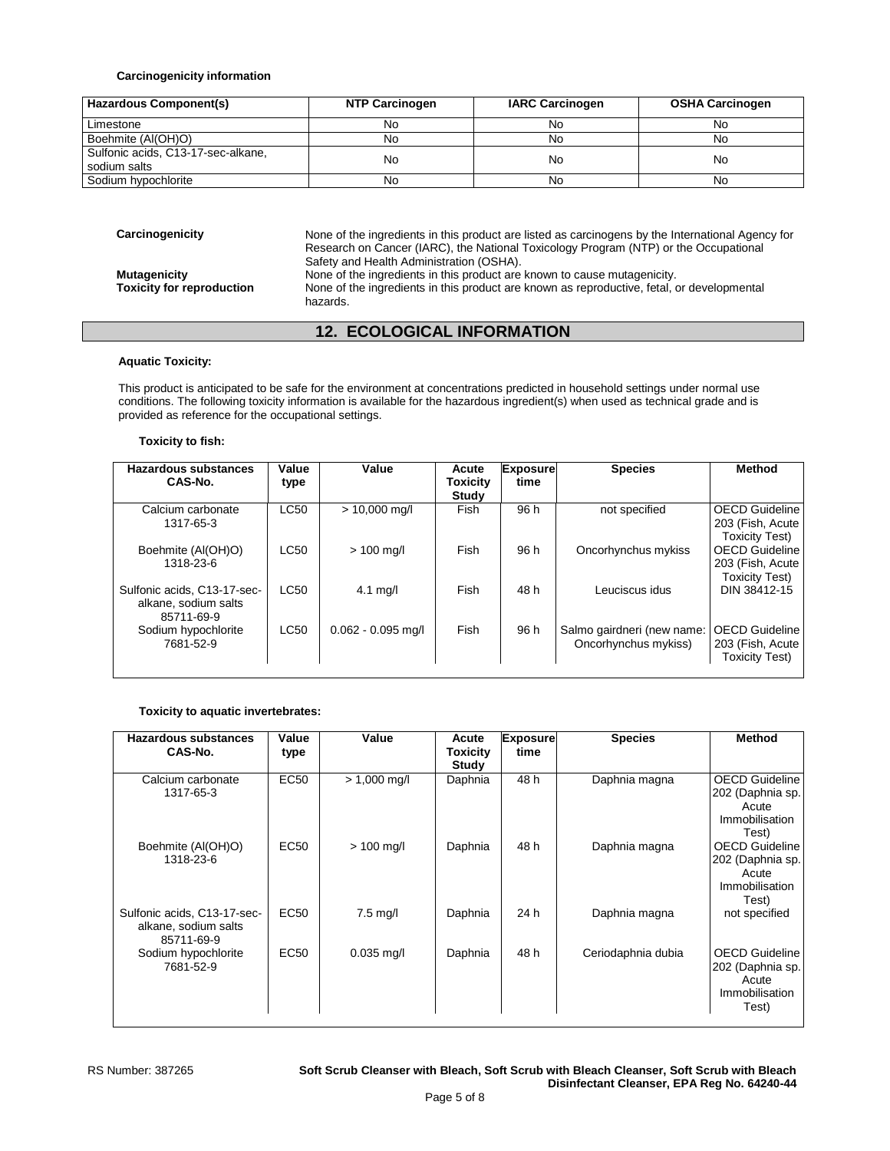## **Carcinogenicity information**

| Hazardous Component(s)                             | <b>NTP Carcinogen</b> | <b>IARC Carcinogen</b> | <b>OSHA Carcinogen</b> |
|----------------------------------------------------|-----------------------|------------------------|------------------------|
| Limestone                                          | No                    | No                     | No                     |
| Boehmite (Al(OH)O)                                 | No                    | No                     | No                     |
| Sulfonic acids, C13-17-sec-alkane,<br>sodium salts | No                    | No                     | No                     |
| Sodium hypochlorite                                | No                    | No                     | No                     |

| Carcinogenicity                                         | None of the ingredients in this product are listed as carcinogens by the International Agency for<br>Research on Cancer (IARC), the National Toxicology Program (NTP) or the Occupational<br>Safety and Health Administration (OSHA). |
|---------------------------------------------------------|---------------------------------------------------------------------------------------------------------------------------------------------------------------------------------------------------------------------------------------|
| <b>Mutagenicity</b><br><b>Toxicity for reproduction</b> | None of the ingredients in this product are known to cause mutagenicity.<br>None of the ingredients in this product are known as reproductive, fetal, or developmental<br>hazards.                                                    |

# **12. ECOLOGICAL INFORMATION**

## **Aquatic Toxicity:**

This product is anticipated to be safe for the environment at concentrations predicted in household settings under normal use conditions. The following toxicity information is available for the hazardous ingredient(s) when used as technical grade and is provided as reference for the occupational settings.

## **Toxicity to fish:**

| Hazardous substances<br>CAS-No.                                   | Value<br>type | Value                | Acute<br><b>Toxicity</b><br>Study | <b>Exposure</b><br>time | <b>Species</b>                                     | <b>Method</b>                                                       |
|-------------------------------------------------------------------|---------------|----------------------|-----------------------------------|-------------------------|----------------------------------------------------|---------------------------------------------------------------------|
| Calcium carbonate<br>1317-65-3                                    | <b>LC50</b>   | $> 10,000$ mg/l      | Fish                              | 96 h                    | not specified                                      | <b>OECD Guideline</b><br>203 (Fish, Acute)<br>Toxicity Test)        |
| Boehmite (AI(OH)O)<br>1318-23-6                                   | <b>LC50</b>   | $> 100$ mg/l         | Fish                              | 96 h                    | Oncorhynchus mykiss                                | <b>OECD Guideline</b><br>203 (Fish, Acute)<br><b>Toxicity Test)</b> |
| Sulfonic acids, C13-17-sec-<br>alkane, sodium salts<br>85711-69-9 | LC50          | $4.1 \text{ mg/l}$   | Fish                              | 48 h                    | Leuciscus idus                                     | DIN 38412-15                                                        |
| Sodium hypochlorite<br>7681-52-9                                  | <b>LC50</b>   | $0.062 - 0.095$ mg/l | Fish                              | 96 h                    | Salmo gairdneri (new name:<br>Oncorhynchus mykiss) | <b>OECD Guideline</b><br>203 (Fish, Acute)<br><b>Toxicity Test)</b> |

## **Toxicity to aquatic invertebrates:**

| <b>Hazardous substances</b><br>CAS-No.                            | Value<br>type    | Value              | Acute<br>Toxicity<br>Study | <b>Exposure</b><br>time | <b>Species</b>     | <b>Method</b>                                                                 |
|-------------------------------------------------------------------|------------------|--------------------|----------------------------|-------------------------|--------------------|-------------------------------------------------------------------------------|
| Calcium carbonate<br>1317-65-3                                    | EC <sub>50</sub> | $> 1,000$ mg/l     | Daphnia                    | 48 h                    | Daphnia magna      | <b>OECD Guideline</b><br>202 (Daphnia sp.<br>Acute<br>Immobilisation<br>Test) |
| Boehmite (AI(OH)O)<br>1318-23-6                                   | EC50             | $> 100$ mg/l       | Daphnia                    | 48 h                    | Daphnia magna      | <b>OECD Guideline</b><br>202 (Daphnia sp.<br>Acute<br>Immobilisation<br>Test) |
| Sulfonic acids, C13-17-sec-<br>alkane, sodium salts<br>85711-69-9 | EC50             | $7.5 \text{ mg/l}$ | Daphnia                    | 24 h                    | Daphnia magna      | not specified                                                                 |
| Sodium hypochlorite<br>7681-52-9                                  | EC50             | $0.035$ mg/l       | Daphnia                    | 48 h                    | Ceriodaphnia dubia | OECD Guideline<br>202 (Daphnia sp.<br>Acute<br>Immobilisation<br>Test)        |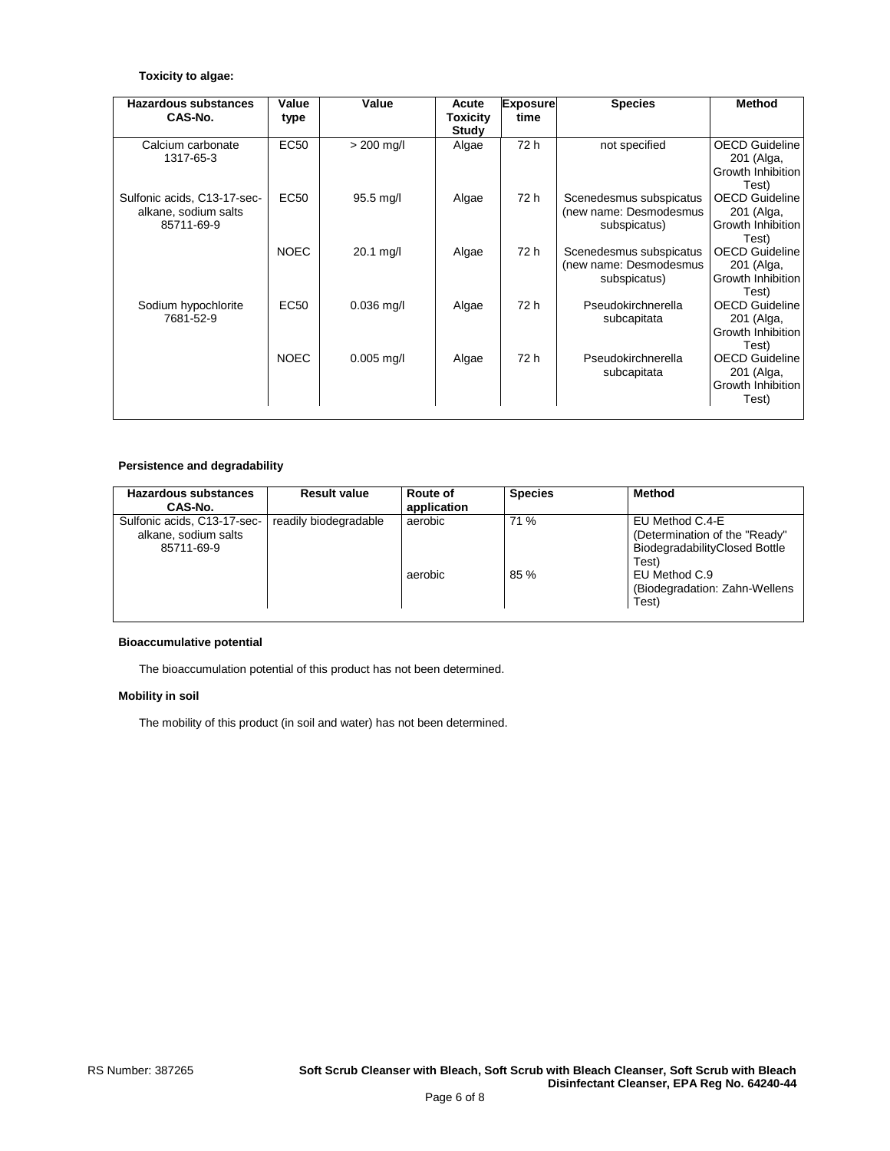## **Toxicity to algae:**

| <b>Hazardous substances</b><br>CAS-No.                            | Value<br>type | Value        | Acute<br><b>Toxicity</b> | <b>Exposure</b><br>time | <b>Species</b>                                                    | <b>Method</b>                                                     |
|-------------------------------------------------------------------|---------------|--------------|--------------------------|-------------------------|-------------------------------------------------------------------|-------------------------------------------------------------------|
|                                                                   |               |              | Study                    |                         |                                                                   |                                                                   |
| Calcium carbonate<br>1317-65-3                                    | <b>EC50</b>   | $> 200$ mg/l | Algae                    | 72 h                    | not specified                                                     | <b>OECD Guideline</b><br>201 (Alga,<br>Growth Inhibition<br>Test) |
| Sulfonic acids, C13-17-sec-<br>alkane, sodium salts<br>85711-69-9 | EC50          | 95.5 mg/l    | Algae                    | 72 h                    | Scenedesmus subspicatus<br>(new name: Desmodesmus<br>subspicatus) | <b>OECD Guideline</b><br>201 (Alga,<br>Growth Inhibition<br>Test) |
|                                                                   | <b>NOEC</b>   | $20.1$ mg/l  | Algae                    | 72 h                    | Scenedesmus subspicatus<br>(new name: Desmodesmus<br>subspicatus) | <b>OECD</b> Guideline<br>201 (Alga,<br>Growth Inhibition<br>Test) |
| Sodium hypochlorite<br>7681-52-9                                  | EC50          | $0.036$ mg/l | Algae                    | 72 h                    | Pseudokirchnerella<br>subcapitata                                 | <b>OECD Guideline</b><br>201 (Alga,<br>Growth Inhibition<br>Test) |
|                                                                   | <b>NOEC</b>   | $0.005$ mg/l | Algae                    | 72 h                    | Pseudokirchnerella<br>subcapitata                                 | <b>OECD Guideline</b><br>201 (Alga,<br>Growth Inhibition<br>Test) |

## **Persistence and degradability**

| Hazardous substances<br>CAS-No.                                   | <b>Result value</b>   | Route of<br>application | <b>Species</b> | <b>Method</b>                                                                              |
|-------------------------------------------------------------------|-----------------------|-------------------------|----------------|--------------------------------------------------------------------------------------------|
| Sulfonic acids, C13-17-sec-<br>alkane, sodium salts<br>85711-69-9 | readily biodegradable | aerobic                 | 71 %           | EU Method C.4-E<br>(Determination of the "Ready"<br>BiodegradabilityClosed Bottle<br>Test) |
|                                                                   |                       | aerobic                 | 85 %           | EU Method C.9<br>(Biodegradation: Zahn-Wellens)<br>Test)                                   |

## **Bioaccumulative potential**

The bioaccumulation potential of this product has not been determined.

## **Mobility in soil**

The mobility of this product (in soil and water) has not been determined.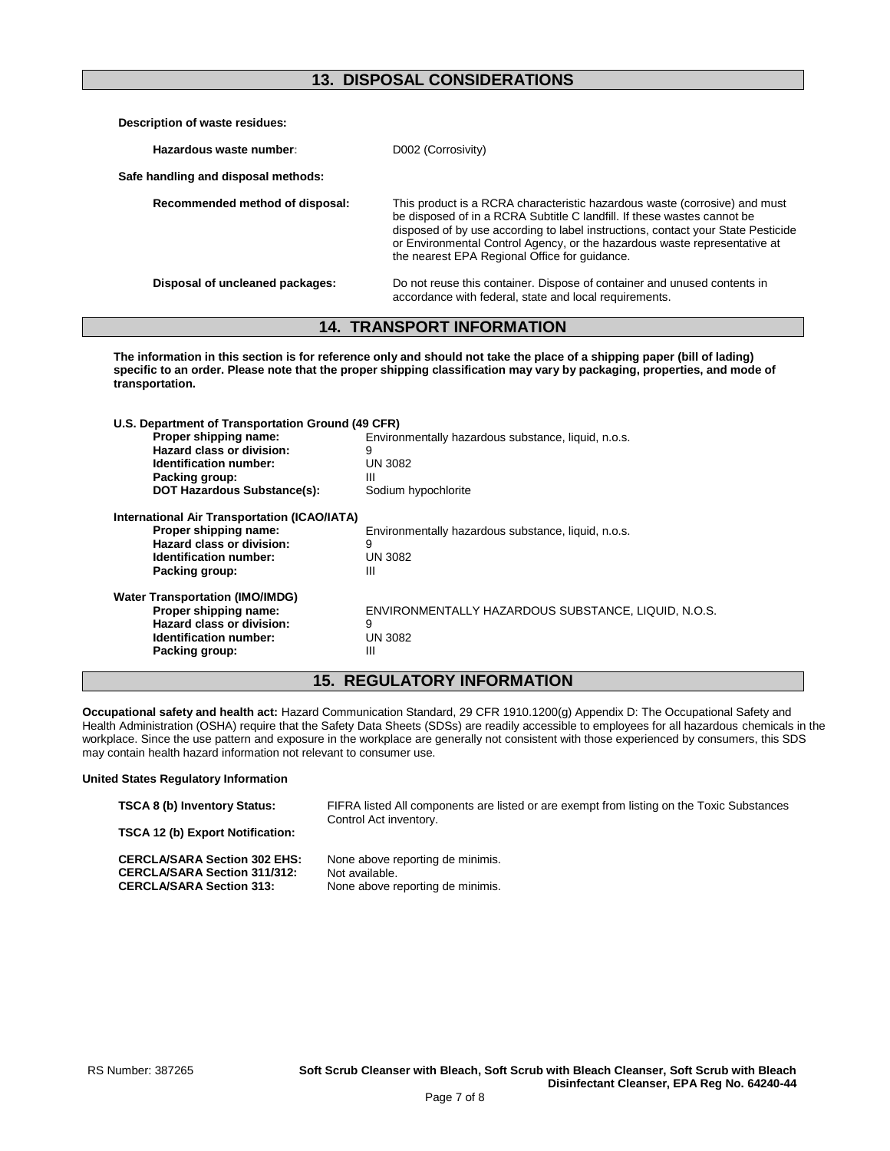# **13. DISPOSAL CONSIDERATIONS**

| Description of waste residues:      |                                                                                                                                                                                                                                                                                                                                                                         |
|-------------------------------------|-------------------------------------------------------------------------------------------------------------------------------------------------------------------------------------------------------------------------------------------------------------------------------------------------------------------------------------------------------------------------|
| Hazardous waste number:             | D002 (Corrosivity)                                                                                                                                                                                                                                                                                                                                                      |
| Safe handling and disposal methods: |                                                                                                                                                                                                                                                                                                                                                                         |
| Recommended method of disposal:     | This product is a RCRA characteristic hazardous waste (corrosive) and must<br>be disposed of in a RCRA Subtitle C landfill. If these wastes cannot be<br>disposed of by use according to label instructions, contact your State Pesticide<br>or Environmental Control Agency, or the hazardous waste representative at<br>the nearest EPA Regional Office for quidance. |
| Disposal of uncleaned packages:     | Do not reuse this container. Dispose of container and unused contents in<br>accordance with federal, state and local requirements.                                                                                                                                                                                                                                      |

# **14. TRANSPORT INFORMATION**

**The information in this section is for reference only and should not take the place of a shipping paper (bill of lading) specific to an order. Please note that the proper shipping classification may vary by packaging, properties, and mode of transportation.**

| U.S. Department of Transportation Ground (49 CFR) |                                                     |
|---------------------------------------------------|-----------------------------------------------------|
| Proper shipping name:                             | Environmentally hazardous substance, liquid, n.o.s. |
| Hazard class or division:                         | 9                                                   |
| Identification number:                            | UN 3082                                             |
| Packing group:                                    | Ш                                                   |
| <b>DOT Hazardous Substance(s):</b>                | Sodium hypochlorite                                 |
| International Air Transportation (ICAO/IATA)      |                                                     |
| Proper shipping name:                             | Environmentally hazardous substance, liquid, n.o.s. |
| Hazard class or division:                         | 9                                                   |
| <b>Identification number:</b>                     | UN 3082                                             |
| Packing group:                                    | Ш                                                   |
| <b>Water Transportation (IMO/IMDG)</b>            |                                                     |
| Proper shipping name:                             | ENVIRONMENTALLY HAZARDOUS SUBSTANCE, LIQUID, N.O.S. |
| Hazard class or division:                         | 9                                                   |
| Identification number:                            | UN 3082                                             |
| Packing group:                                    | Ш                                                   |
|                                                   |                                                     |

# **15. REGULATORY INFORMATION**

**Occupational safety and health act:** Hazard Communication Standard, 29 CFR 1910.1200(g) Appendix D: The Occupational Safety and Health Administration (OSHA) require that the Safety Data Sheets (SDSs) are readily accessible to employees for all hazardous chemicals in the workplace. Since the use pattern and exposure in the workplace are generally not consistent with those experienced by consumers, this SDS may contain health hazard information not relevant to consumer use.

## **United States Regulatory Information**

| <b>TSCA 8 (b) Inventory Status:</b>                                                                           | FIFRA listed All components are listed or are exempt from listing on the Toxic Substances<br>Control Act inventory. |
|---------------------------------------------------------------------------------------------------------------|---------------------------------------------------------------------------------------------------------------------|
| <b>TSCA 12 (b) Export Notification:</b>                                                                       |                                                                                                                     |
| <b>CERCLA/SARA Section 302 EHS:</b><br><b>CERCLA/SARA Section 311/312:</b><br><b>CERCLA/SARA Section 313:</b> | None above reporting de minimis.<br>Not available.<br>None above reporting de minimis.                              |